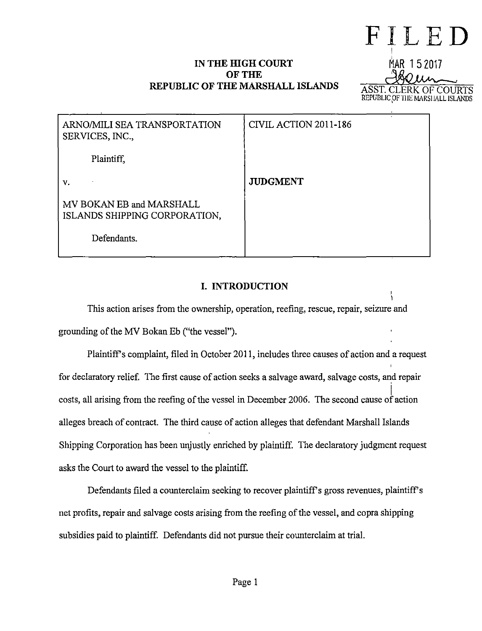# IN THE HIGH COURT **OF THE REPUBLIC OF THE MARSHALL ISLANDS**

# **FILED**  I MAR 152017 ~ OF COURTS REPUBLIC OF THE MARSHALL ISLANDS

| ARNO/MILI SEA TRANSPORTATION<br>SERVICES, INC.,           | CIVIL ACTION 2011-186 |
|-----------------------------------------------------------|-----------------------|
| Plaintiff.                                                |                       |
| v.                                                        | <b>JUDGMENT</b>       |
| MV BOKAN EB and MARSHALL<br>ISLANDS SHIPPING CORPORATION, |                       |
| Defendants.                                               |                       |

# **I. INTRODUCTION**

This action arises from the ownership, operation, reefing, rescue, repair, seizure and grounding of the MV Bokan Eb ("the vessel").

Plaintiff's complaint, filed in October 2011, includes three causes of action and a request for declaratory relief. The first cause of action seeks a salvage award, salvage costs, and repair  $\overline{a}$ costs, all arising from the reefing of the vessel in December 2006. The second cause of action alleges breach of contract. The third cause of action alleges that defendant Marshall Islands Shipping Corporation has been unjustly enriched by plaintiff. The declaratory judgment request asks the Court to award the vessel to the plaintiff.

Defendants filed a counterclaim seeking to recover plaintiff's gross revenues, plaintiff's net profits, repair and salvage costs arising from the reefing of the vessel, and copra shipping subsidies paid to plaintiff. Defendants did not pursue their counterclaim at trial.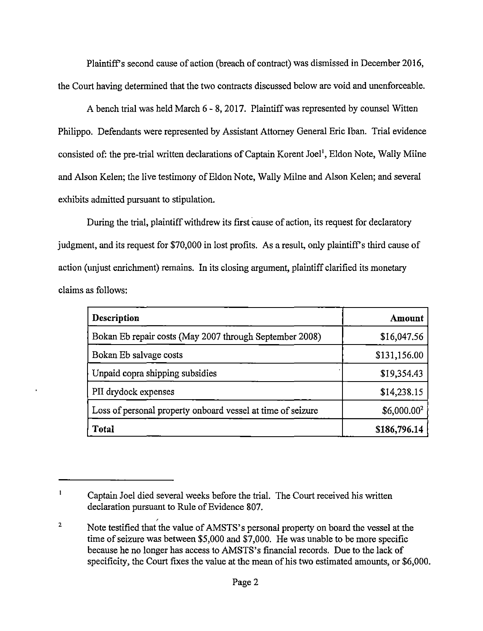Plaintiff's second cause of action (breach of contract) was dismissed in December 2016, the Court having determined that the two contracts discussed below are void and unenforceable.

A bench trial was held March 6 - 8, 2017. Plaintiff was represented by counsel Witten Philippa. Defendants were represented by Assistant Attorney General Eric Iban. Trial evidence consisted of: the pre-trial written declarations of Captain Korent Joel<sup>1</sup>, Eldon Note, Wally Milne and Alson Kelen; the live testimony of Eldon Note, Wally Milne and Alson Kelen; and several exhibits admitted pursuant to stipulation.

During the trial, plaintiff withdrew its first cause of action, its request for declaratory judgment, and its request for \$70,000 in lost profits. As a result, only plaintiff's third cause of action (unjust enrichment) remains. In its closing argument, plaintiff clarified its monetary claims as follows:

| Description                                                 | Amount        |
|-------------------------------------------------------------|---------------|
| Bokan Eb repair costs (May 2007 through September 2008)     | \$16,047.56   |
| Bokan Eb salvage costs                                      | \$131,156.00  |
| Unpaid copra shipping subsidies                             | \$19,354.43   |
| PII drydock expenses                                        | \$14,238.15   |
| Loss of personal property onboard vessel at time of seizure | $$6,000.00^2$ |
| <b>Total</b>                                                | \$186,796.14  |

 $\mathbf{I}$ Captain Joel died several weeks before the trial. The Court received his written declaration pursuant to Rule of Evidence 807.

<sup>2</sup>  , Note testified that the value of AMSTS's personal property on board the vessel at the time of seizure was between \$5,000 and \$7,000. He was unable to be more specific because he no longer has access to AMSTS's financial records. Due to the lack of specificity, the Court fixes the value at the mean of his two estimated amounts, or \$6,000.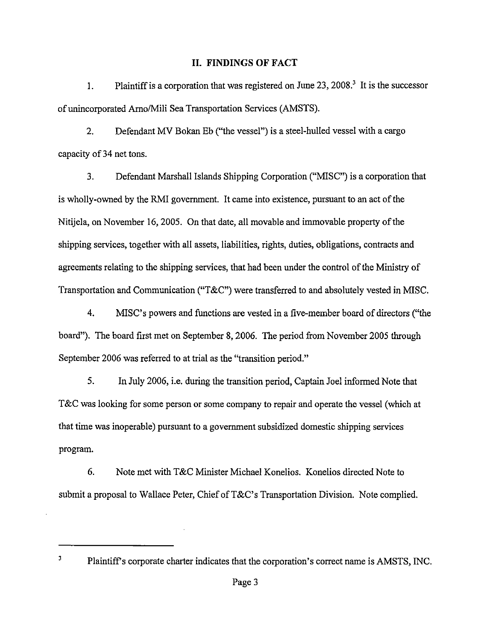#### **II. FINDINGS OF FACT**

1. Plaintiff is a corporation that was registered on June  $23$ ,  $2008$ <sup>3</sup>. It is the successor of unincorporated Arno/Mili Sea Transportation Services (AMSTS).

2. Defendant MV Bokan Eb ("the vessel") is a steel-hulled vessel with a cargo capacity of 34 net tons.

3. Defendant Marshall Islands Shipping Corporation ("MISC") is a corporation that is wholly-owned by the RMI government. It came into existence, pursuant to an act of the Nitijela, on November 16, 2005. On that date, all movable and immovable property of the shipping services, together with all assets, liabilities, rights, duties, obligations, contracts and agreements relating to the shipping services, that had been under the control of the Ministry of Transportation and Communication ("T&C") were transferred to and absolutely vested in MISC.

4. MISC's powers and functions are vested in a five-member board of directors ("the board"). The board first met on September 8, 2006. The period from November 2005 through September 2006 was referred to at trial as the "transition period."

5. In July 2006, i.e. during the transition period, Captain Joel informed Note that T&C was looking for some person or some company to repair and operate the vessel (which at that time was inoperable) pursuant to a government subsidized domestic shipping services program.

6. Note met with T&C Minister Michael Konelios. Konelios directed Note to submit a proposal to Wallace Peter, Chief of  $T\&C$ 's Transportation Division. Note complied.

<sup>3</sup> Plaintiff's corporate charter indicates that the corporation's correct name is AMSTS, INC.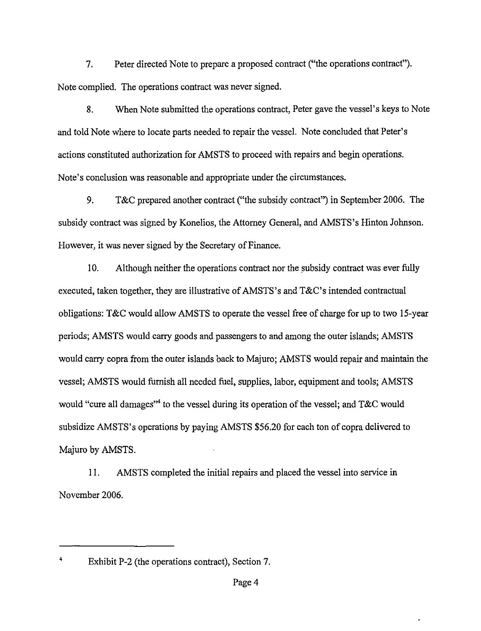7. Peter directed Note to prepare a proposed contract ("the operations contract"). Note complied. The operations contract was never signed.

8. When Note submitted the operations contract, Peter gave the vessel's keys to Note and told Note where to locate parts needed to repair the vessel. Note concluded that Peter's actions constituted authorization for AMSTS to proceed with repairs and begin operations. Note's conclusion was reasonable and appropriate under the circumstances.

9. T&C prepared another contract ("the subsidy contract") in September 2006. The subsidy contract was signed by Konelios, the Attorney General, and AMSTS's Hinton Johnson. However, it was never signed by the Secretary of Finance.

10. Although neither the operations contract nor the subsidy contract was ever fully executed, taken together, they are illustrative of AMSTS's and T&C's intended contractual obligations: T&C would allow AMSTS to operate the vessel free of charge for up to two 15-year periods; AMSTS would carry goods and passengers to and among the outer islands; AMSTS would carry copra from the outer islands back to Majuro; AMSTS would repair and maintain the vessel; AMSTS would furnish all needed fuel, supplies, labor, equipment and tools; AMSTS would "cure all damages"<sup>4</sup> to the vessel during its operation of the vessel; and T&C would subsidize AMSTS's operations by paying AMSTS \$56.20 for each ton of copra delivered to Majuro by AMSTS.

11. AMSTS completed the initial repairs and placed the vessel into service in November 2006.

<sup>4</sup> Exhibit P-2 (the operations contract), Section 7.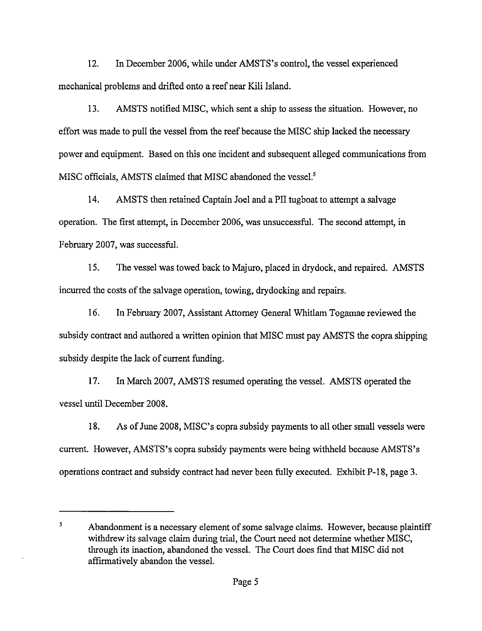12. In December 2006, while under AMSTS's control, the vessel experienced mechanical problems and drifted onto a reef near Kili Island.

13. AMSTS notified MISC, which sent a ship to assess the situation. However, no effort was made to pull the vessel from the reef because the MISC ship lacked the necessary power and equipment. Based on this one incident and subsequent alleged communications from MISC officials, AMSTS claimed that MISC abandoned the vessel.<sup>5</sup>

14. AMSTS then retained Captain Joel and a PII tugboat to attempt a salvage operation. The first attempt, in December 2006, was unsuccessful. The second attempt, in February 2007, was successful.

15. The vessel was towed back to Majuro, placed in drydock, and repaired. AMSTS incurred the costs of the salvage operation, towing, dry docking and repairs.

16. In February 2007, Assistant Attorney General Whitlam Togamae reviewed the subsidy contract and authored a written opinion that MISC must pay AMSTS the copra shipping subsidy despite the lack of current funding.

17. In March 2007, AMSTS resumed operating the vessel. AMSTS operated the vessel until December 2008.

18. As of June 2008, MISC's copra subsidy payments to all other small vessels were current. However, AMSTS's copra subsidy payments were being withheld because AMSTS's operations contract and subsidy contract had never been fully executed. Exhibit P-18, page 3.

<sup>&</sup>lt;sup>5</sup><br>Abandonment is a necessary element of some salvage claims. However, because plaintiff withdrew its salvage claim during trial, the Court need not determine whether MISC, through its inaction, abandoned the vessel. The Court does find that MISC did not affirmatively abandon the vessel.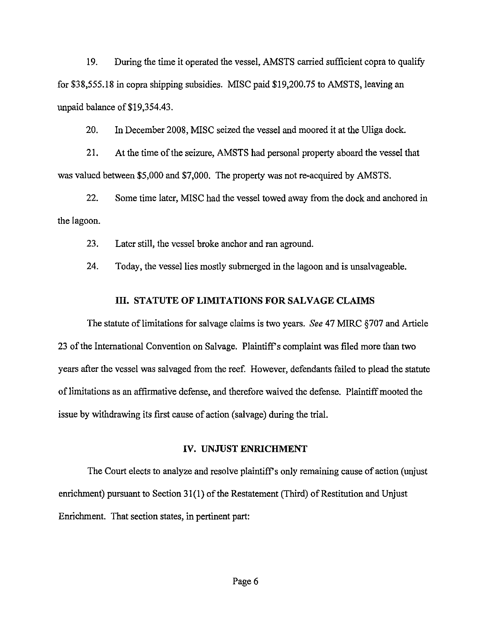19. During the time it operated the vessel, AMSTS carried sufficient copra to qualify for \$38,555.18 in copra shipping subsidies. MlSC paid \$19,200.75 to AMSTS, leaving an unpaid balance of \$19,354.43.

20. In December 2008, MISC seized the vessel and moored it at the Uliga dock.

21. At the time of the seizure, AMSTS had personal property aboard the vessel that was valued between \$5,000 and \$7,000. The property was not re-acquired by AMSTS.

22. Some time later, MlSC had the vessel towed away from the dock and anchored in the lagoon.

23. Later still, the vessel broke anchor and ran aground.

24. Today, the vessel lies mostly submerged in the lagoon and is unsalvageable.

# **III. STATUTE OF LIMITATIONS FOR SALVAGE CLAIMS**

The statute oflimitations for salvage claims is two years. *See* 47 MlRC §707 and Article 23 of the International Convention on Salvage. Plaintiff's complaint was filed more than two years after the vessel was salvaged from the reef. However, defendants failed to plead the statute of limitations as an affirmative defense, and therefore waived the defense. Plaintiff mooted the issue by withdrawing its first cause of action (salvage) during the trial.

#### **IV. UNJUST ENRICHMENT**

The Court elects to analyze and resolve plaintiff's only remaining cause of action (unjust enrichment) pursuant to Section 31(1) of the Restatement (Third) of Restitution and Unjust Enrichment. That section states, in pertinent part: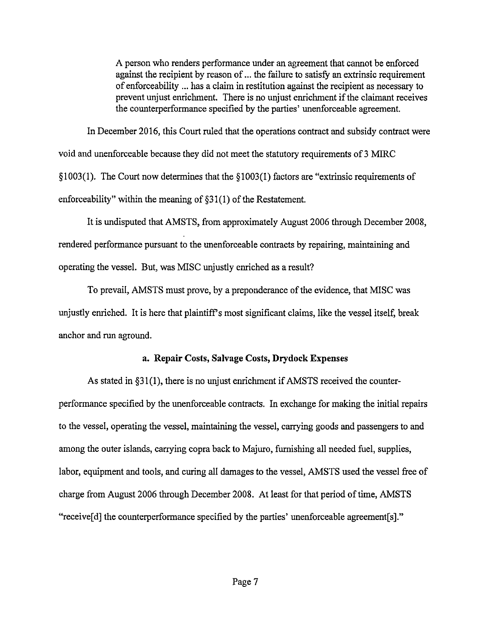A person who renders performance under an agreement that cannot be enforced against the recipient by reason of ... the failure to satisfy an extrinsic requirement of enforceability ... has a claim in restitution against the recipient as necessary to prevent unjust enrichment. There is no unjust enrichment if the claimant receives the counterperformance specified by the parties' unenforceable agreement.

In December 2016, this Court ruled that the operations contract and subsidy contract were void and unenforceable because they did not meet the statutory requirements of 3 MIRC §1003(1). The Court now determines that the §1003(1) factors are "extrinsic requirements of enforceability" within the meaning of  $\S31(1)$  of the Restatement.

It is undisputed that AMSTS, from approximately August 2006 through December 2008, rendered performance pursuant to the unenforceable contracts by repairing, maintaining and operating the vessel. But, was MISC unjustly enriched as a result?

To prevail, AMSTS must prove, by a preponderance of the evidence, that MISC was unjustly enriched. It is here that plaintiffs most significant claims, like the vessel itself, break anchor and run aground.

### **a. Repair** Costs, Salvage Costs, **Drydock** Expenses

As stated in §31(1), there is no unjust enrichment if AMSTS received the counterperformance specified by the unenforceable contracts. In exchange for making the initial repairs to the vessel, operating the vessel, maintaining the vessel, carrying goods and passengers to and among the outer islands, carrying copra back to Majuro, furnishing all needed fuel, supplies, labor, equipment and tools, and curing all damages to the vessel, AMSTS used the vessel free of charge from August 2006 through December 2008. At least for that period of time, AMSTS "receive[d] the counterperformance specified by the parties' unenforceable agreement[s]."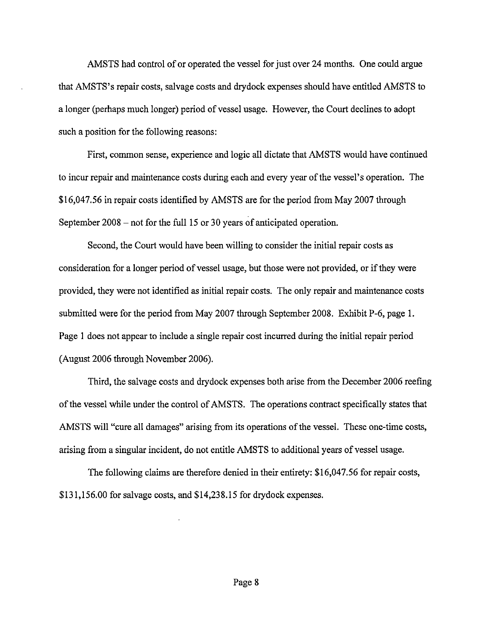AMSTS had control of or operated the vessel for just over 24 months. One could argue that AMSTS's repair costs, salvage costs and drydock expenses should have entitled AMSTS to a longer (perhaps much longer) period of vessel usage. However, the Court declines to adopt such a position for the following reasons:

First, common sense, experience and logic all dictate that AMSTS would have continued to incur repair and maintenance costs during each and every year of the vessel's operation. The \$16,047.56 in repair costs identified by AMSTS are for the period from May 2007 through September 2008 – not for the full 15 or 30 years of anticipated operation.

Second, the Court would have been willing to consider the initial repair costs as consideration for a longer period of vessel usage, but those were not provided, or if they were provided, they were not identified as initial repair costs. The only repair and maintenance costs submitted were for the period from May 2007 through September 2008. Exhibit P-6, page 1. Page 1 does not appear to include a single repair cost incurred during the initial repair period (August 2006 through November 2006).

Third, the salvage costs and drydock expenses both arise from the December 2006 reefing of the vessel while under the control of AMSTS. The operations contract specifically states that AMSTS will "cure all damages" arising from its operations of the vessel. These one-time costs, arising from a singular incident, do not entitle AMSTS to additional years of vessel usage.

The following claims are therefore denied in their entirety: \$16,047.56 for repair costs, \$131,156.00 for salvage costs, and \$14,238.15 for drydock expenses.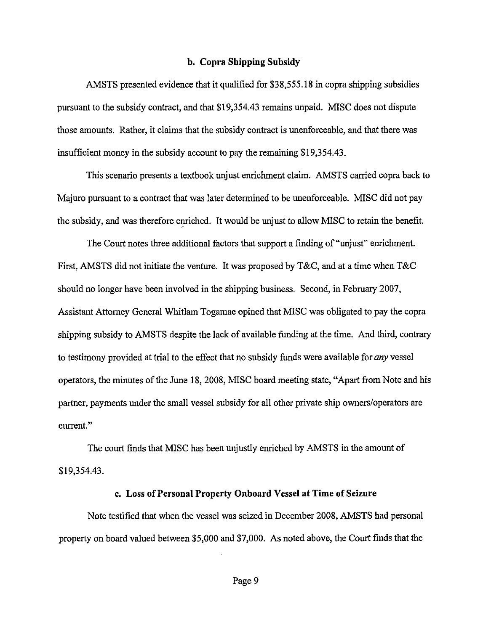#### **b. Copra Shipping Subsidy**

AMSTS presented evidence that it qualified for \$38,555.18 in copra shipping subsidies pursuant to the subsidy contract, and that \$19,354.43 remains unpaid. MISC does not dispute those amounts. Rather, it claims that the subsidy contract is unenforceable, and that there was insufficient money in the subsidy account to pay the remaining \$19,354.43.

This scenario presents a textbook unjust enrichment claim. AMSTS carried copra back to Majuro pursuant to a contract that was later determined to be unenforceable. MISC did not pay the subsidy, and was therefore enriched. It would be unjust to allow MISC to retain the benefit.

The Court notes three additional factors that support a finding of "unjust" enrichment. First, AMSTS did not initiate the venture. It was proposed by T&C, and at a time when T&C should no longer have been involved in the shipping business. Second, in February 2007, Assistant Attorney General Whitlam Togamae opined that MISC was obligated to pay the copra shipping subsidy to AMSTS despite the lack of available funding at the time. And third, contrary to testimony provided at trial to the effect that no subsidy funds were available for *any* vessel operators, the minutes of the June 18, 2008, MISC board meeting state, "Apart from Note and his partner, payments under the small vessel subsidy for all other private ship owners/operators are current."

The court finds that MISC has been unjustly enriched by AMSTS in the amount of \$19,354.43.

#### **c. Loss of Personal Property On board Vessel at Time of Seizure**

Note testified that when the vessel was seized in December 2008, AMSTS had personal property on board valued between \$5,000 and \$7,000. As noted above, the Court finds that the